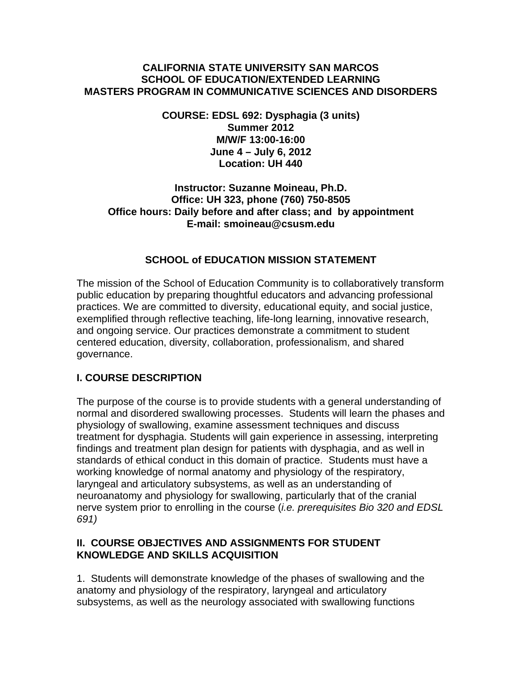#### **CALIFORNIA STATE UNIVERSITY SAN MARCOS SCHOOL OF EDUCATION/EXTENDED LEARNING MASTERS PROGRAM IN COMMUNICATIVE SCIENCES AND DISORDERS**

**COURSE: EDSL 692: Dysphagia (3 units) Summer 2012 M/W/F 13:00-16:00 June 4 – July 6, 2012 Location: UH 440** 

#### **Instructor: Suzanne Moineau, Ph.D. Office: UH 323, phone (760) 750-8505 Office hours: Daily before and after class; and by appointment E-mail: smoineau@csusm.edu**

# **SCHOOL of EDUCATION MISSION STATEMENT**

The mission of the School of Education Community is to collaboratively transform public education by preparing thoughtful educators and advancing professional practices. We are committed to diversity, educational equity, and social justice, exemplified through reflective teaching, life-long learning, innovative research, and ongoing service. Our practices demonstrate a commitment to student centered education, diversity, collaboration, professionalism, and shared governance.

# **I. COURSE DESCRIPTION**

The purpose of the course is to provide students with a general understanding of normal and disordered swallowing processes. Students will learn the phases and physiology of swallowing, examine assessment techniques and discuss treatment for dysphagia. Students will gain experience in assessing, interpreting findings and treatment plan design for patients with dysphagia, and as well in standards of ethical conduct in this domain of practice. Students must have a working knowledge of normal anatomy and physiology of the respiratory, laryngeal and articulatory subsystems, as well as an understanding of neuroanatomy and physiology for swallowing, particularly that of the cranial nerve system prior to enrolling in the course (*i.e. prerequisites Bio 320 and EDSL 691)* 

# **II. COURSE OBJECTIVES AND ASSIGNMENTS FOR STUDENT KNOWLEDGE AND SKILLS ACQUISITION**

1. Students will demonstrate knowledge of the phases of swallowing and the anatomy and physiology of the respiratory, laryngeal and articulatory subsystems, as well as the neurology associated with swallowing functions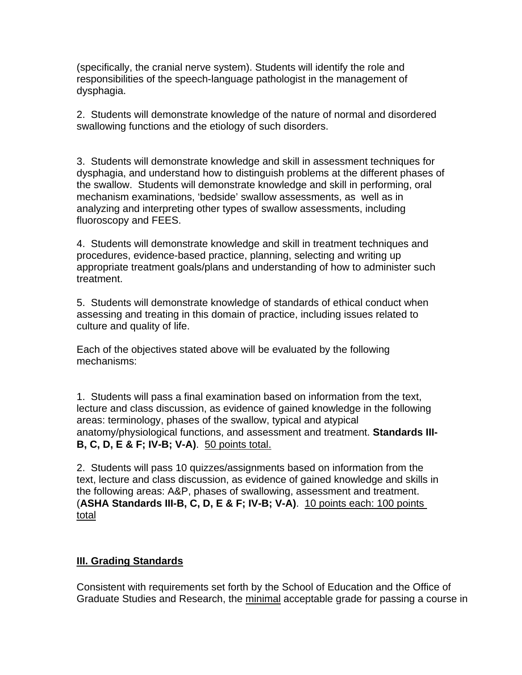(specifically, the cranial nerve system). Students will identify the role and responsibilities of the speech-language pathologist in the management of dysphagia.

2. Students will demonstrate knowledge of the nature of normal and disordered swallowing functions and the etiology of such disorders.

3. Students will demonstrate knowledge and skill in assessment techniques for dysphagia, and understand how to distinguish problems at the different phases of the swallow. Students will demonstrate knowledge and skill in performing, oral mechanism examinations, 'bedside' swallow assessments, as well as in analyzing and interpreting other types of swallow assessments, including fluoroscopy and FEES.

4. Students will demonstrate knowledge and skill in treatment techniques and procedures, evidence-based practice, planning, selecting and writing up appropriate treatment goals/plans and understanding of how to administer such treatment.

5. Students will demonstrate knowledge of standards of ethical conduct when assessing and treating in this domain of practice, including issues related to culture and quality of life.

Each of the objectives stated above will be evaluated by the following mechanisms:

1. Students will pass a final examination based on information from the text, lecture and class discussion, as evidence of gained knowledge in the following areas: terminology, phases of the swallow, typical and atypical anatomy/physiological functions, and assessment and treatment. **Standards III-B, C, D, E & F; IV-B; V-A)**. 50 points total.

2. Students will pass 10 quizzes/assignments based on information from the text, lecture and class discussion, as evidence of gained knowledge and skills in the following areas: A&P, phases of swallowing, assessment and treatment. (**ASHA Standards III-B, C, D, E & F; IV-B; V-A)**. 10 points each: 100 points total

# **III. Grading Standards**

Consistent with requirements set forth by the School of Education and the Office of Graduate Studies and Research, the minimal acceptable grade for passing a course in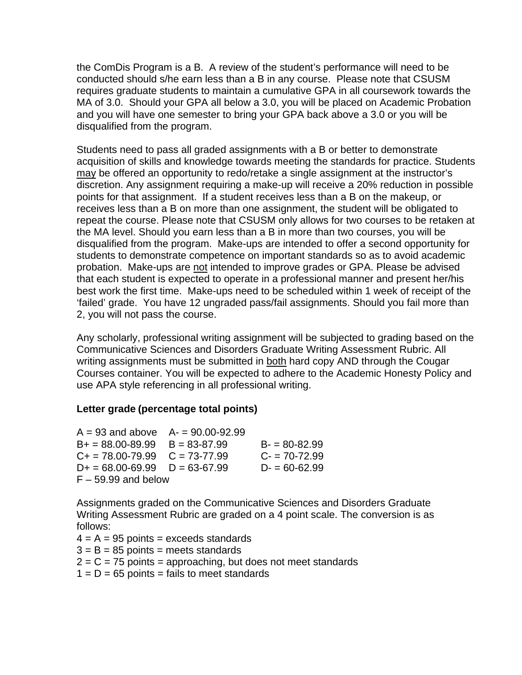the ComDis Program is a B. A review of the student's performance will need to be conducted should s/he earn less than a B in any course. Please note that CSUSM requires graduate students to maintain a cumulative GPA in all coursework towards the MA of 3.0. Should your GPA all below a 3.0, you will be placed on Academic Probation and you will have one semester to bring your GPA back above a 3.0 or you will be disqualified from the program.

Students need to pass all graded assignments with a B or better to demonstrate acquisition of skills and knowledge towards meeting the standards for practice. Students may be offered an opportunity to redo/retake a single assignment at the instructor's discretion. Any assignment requiring a make-up will receive a 20% reduction in possible points for that assignment. If a student receives less than a B on the makeup, or receives less than a B on more than one assignment, the student will be obligated to repeat the course. Please note that CSUSM only allows for two courses to be retaken at the MA level. Should you earn less than a B in more than two courses, you will be disqualified from the program. Make-ups are intended to offer a second opportunity for students to demonstrate competence on important standards so as to avoid academic probation. Make-ups are not intended to improve grades or GPA. Please be advised that each student is expected to operate in a professional manner and present her/his best work the first time. Make-ups need to be scheduled within 1 week of receipt of the 'failed' grade. You have 12 ungraded pass/fail assignments. Should you fail more than 2, you will not pass the course.

Any scholarly, professional writing assignment will be subjected to grading based on the Communicative Sciences and Disorders Graduate Writing Assessment Rubric. All writing assignments must be submitted in both hard copy AND through the Cougar Courses container. You will be expected to adhere to the Academic Honesty Policy and use APA style referencing in all professional writing.

#### **Letter grade (percentage total points)**

 $A = 93$  and above  $A = 90.00 - 92.99$  $B_+ = 88.00 - 89.99$   $B = 83 - 87.99$   $B_+ = 80 - 82.99$  $C_+ = 78.00 - 79.99$   $C = 73 - 77.99$   $C_+ = 70 - 72.99$  $D+ = 68.00 - 69.99$   $D = 63 - 67.99$   $D- = 60 - 62.99$  $F - 59.99$  and below

Assignments graded on the Communicative Sciences and Disorders Graduate Writing Assessment Rubric are graded on a 4 point scale. The conversion is as follows:

 $4 = A = 95$  points = exceeds standards

 $3 = B = 85$  points = meets standards

- $2 = C = 75$  points = approaching, but does not meet standards
- $1 = D = 65$  points = fails to meet standards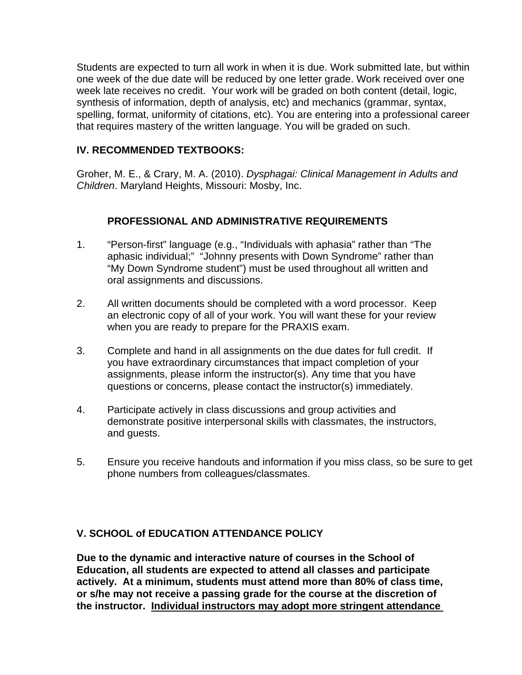Students are expected to turn all work in when it is due. Work submitted late, but within one week of the due date will be reduced by one letter grade. Work received over one week late receives no credit. Your work will be graded on both content (detail, logic, synthesis of information, depth of analysis, etc) and mechanics (grammar, syntax, spelling, format, uniformity of citations, etc). You are entering into a professional career that requires mastery of the written language. You will be graded on such.

### **IV. RECOMMENDED TEXTBOOKS:**

Groher, M. E., & Crary, M. A. (2010). *Dysphagai: Clinical Management in Adults and Children*. Maryland Heights, Missouri: Mosby, Inc.

# **PROFESSIONAL AND ADMINISTRATIVE REQUIREMENTS**

- 1. "Person-first" language (e.g., "Individuals with aphasia" rather than "The aphasic individual;" "Johnny presents with Down Syndrome" rather than "My Down Syndrome student") must be used throughout all written and oral assignments and discussions.
- 2. All written documents should be completed with a word processor. Keep an electronic copy of all of your work. You will want these for your review when you are ready to prepare for the PRAXIS exam.
- 3. Complete and hand in all assignments on the due dates for full credit. If you have extraordinary circumstances that impact completion of your assignments, please inform the instructor(s). Any time that you have questions or concerns, please contact the instructor(s) immediately.
- 4. Participate actively in class discussions and group activities and demonstrate positive interpersonal skills with classmates, the instructors, and guests.
- 5. Ensure you receive handouts and information if you miss class, so be sure to get phone numbers from colleagues/classmates.

# **V. SCHOOL of EDUCATION ATTENDANCE POLICY**

**Due to the dynamic and interactive nature of courses in the School of Education, all students are expected to attend all classes and participate actively. At a minimum, students must attend more than 80% of class time, or s/he may not receive a passing grade for the course at the discretion of the instructor. Individual instructors may adopt more stringent attendance**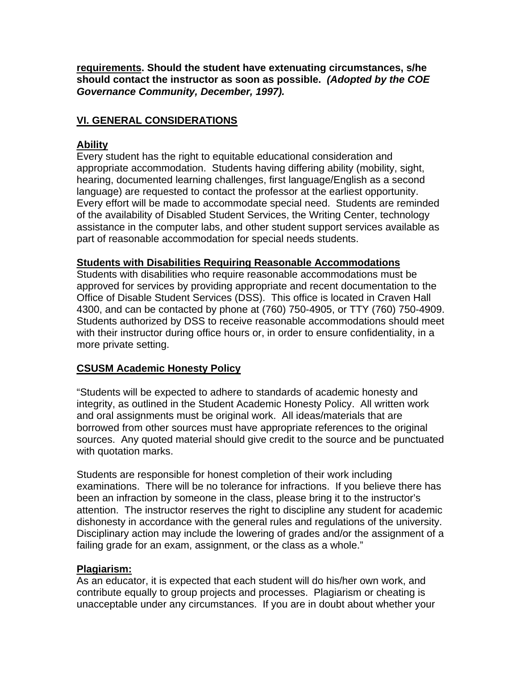**requirements. Should the student have extenuating circumstances, s/he should contact the instructor as soon as possible.** *(Adopted by the COE Governance Community, December, 1997).*

# **VI. GENERAL CONSIDERATIONS**

### **Ability**

Every student has the right to equitable educational consideration and appropriate accommodation. Students having differing ability (mobility, sight, hearing, documented learning challenges, first language/English as a second language) are requested to contact the professor at the earliest opportunity. Every effort will be made to accommodate special need. Students are reminded of the availability of Disabled Student Services, the Writing Center, technology assistance in the computer labs, and other student support services available as part of reasonable accommodation for special needs students.

#### **Students with Disabilities Requiring Reasonable Accommodations**

Students with disabilities who require reasonable accommodations must be approved for services by providing appropriate and recent documentation to the Office of Disable Student Services (DSS). This office is located in Craven Hall 4300, and can be contacted by phone at (760) 750-4905, or TTY (760) 750-4909. Students authorized by DSS to receive reasonable accommodations should meet with their instructor during office hours or, in order to ensure confidentiality, in a more private setting.

# **CSUSM Academic Honesty Policy**

"Students will be expected to adhere to standards of academic honesty and integrity, as outlined in the Student Academic Honesty Policy. All written work and oral assignments must be original work. All ideas/materials that are borrowed from other sources must have appropriate references to the original sources. Any quoted material should give credit to the source and be punctuated with quotation marks.

Students are responsible for honest completion of their work including examinations. There will be no tolerance for infractions. If you believe there has been an infraction by someone in the class, please bring it to the instructor's attention. The instructor reserves the right to discipline any student for academic dishonesty in accordance with the general rules and regulations of the university. Disciplinary action may include the lowering of grades and/or the assignment of a failing grade for an exam, assignment, or the class as a whole."

# **Plagiarism:**

As an educator, it is expected that each student will do his/her own work, and contribute equally to group projects and processes. Plagiarism or cheating is unacceptable under any circumstances. If you are in doubt about whether your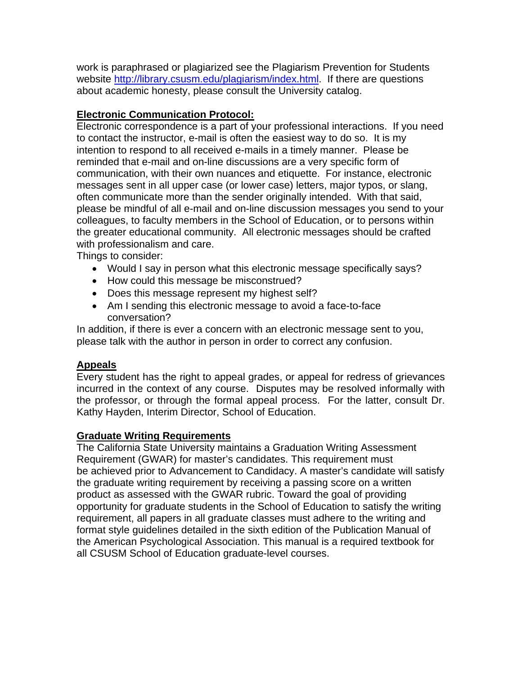work is paraphrased or plagiarized see the Plagiarism Prevention for Students website http://library.csusm.edu/plagiarism/index.html. If there are questions about academic honesty, please consult the University catalog.

# **Electronic Communication Protocol:**

Electronic correspondence is a part of your professional interactions. If you need to contact the instructor, e-mail is often the easiest way to do so. It is my intention to respond to all received e-mails in a timely manner. Please be reminded that e-mail and on-line discussions are a very specific form of communication, with their own nuances and etiquette. For instance, electronic messages sent in all upper case (or lower case) letters, major typos, or slang, often communicate more than the sender originally intended. With that said, please be mindful of all e-mail and on-line discussion messages you send to your colleagues, to faculty members in the School of Education, or to persons within the greater educational community. All electronic messages should be crafted with professionalism and care.

Things to consider:

- Would I say in person what this electronic message specifically says?
- How could this message be misconstrued?
- Does this message represent my highest self?
- Am I sending this electronic message to avoid a face-to-face conversation?

In addition, if there is ever a concern with an electronic message sent to you, please talk with the author in person in order to correct any confusion.

# **Appeals**

Every student has the right to appeal grades, or appeal for redress of grievances incurred in the context of any course. Disputes may be resolved informally with the professor, or through the formal appeal process. For the latter, consult Dr. Kathy Hayden, Interim Director, School of Education.

# **Graduate Writing Requirements**

The California State University maintains a Graduation Writing Assessment Requirement (GWAR) for master's candidates. This requirement must be achieved prior to Advancement to Candidacy. A master's candidate will satisfy the graduate writing requirement by receiving a passing score on a written product as assessed with the GWAR rubric. Toward the goal of providing opportunity for graduate students in the School of Education to satisfy the writing requirement, all papers in all graduate classes must adhere to the writing and format style guidelines detailed in the sixth edition of the Publication Manual of the American Psychological Association. This manual is a required textbook for all CSUSM School of Education graduate-level courses.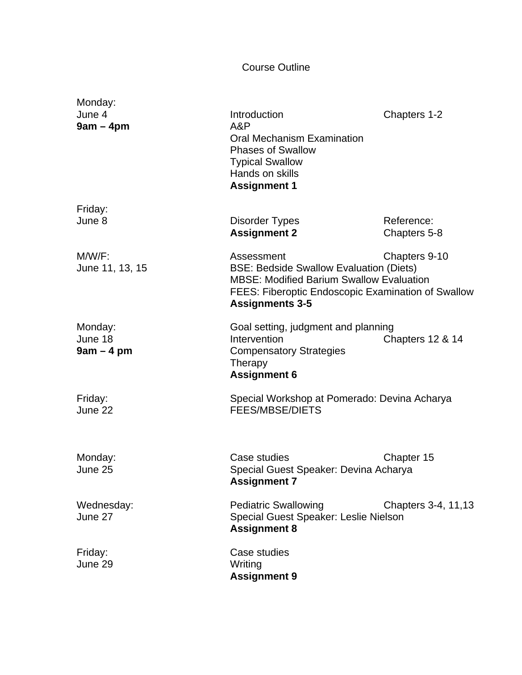# Course Outline

| Monday:<br>June 4<br>$9am - 4pm$  | Introduction<br>A&P<br><b>Oral Mechanism Examination</b><br><b>Phases of Swallow</b><br><b>Typical Swallow</b><br>Hands on skills<br><b>Assignment 1</b>                                                         | Chapters 1-2               |
|-----------------------------------|------------------------------------------------------------------------------------------------------------------------------------------------------------------------------------------------------------------|----------------------------|
| Friday:<br>June 8                 | Disorder Types<br><b>Assignment 2</b>                                                                                                                                                                            | Reference:<br>Chapters 5-8 |
| $M/W/F$ :<br>June 11, 13, 15      | Chapters 9-10<br>Assessment<br><b>BSE: Bedside Swallow Evaluation (Diets)</b><br><b>MBSE: Modified Barium Swallow Evaluation</b><br>FEES: Fiberoptic Endoscopic Examination of Swallow<br><b>Assignments 3-5</b> |                            |
| Monday:<br>June 18<br>$9am - 4pm$ | Goal setting, judgment and planning<br>Intervention<br><b>Compensatory Strategies</b><br>Therapy<br><b>Assignment 6</b>                                                                                          | Chapters 12 & 14           |
| Friday:<br>June 22                | Special Workshop at Pomerado: Devina Acharya<br><b>FEES/MBSE/DIETS</b>                                                                                                                                           |                            |
| Monday:<br>June 25                | Case studies<br>Special Guest Speaker: Devina Acharya<br><b>Assignment 7</b>                                                                                                                                     | Chapter 15                 |
| Wednesday:<br>June 27             | <b>Pediatric Swallowing</b><br>Special Guest Speaker: Leslie Nielson<br><b>Assignment 8</b>                                                                                                                      | Chapters 3-4, 11, 13       |
| Friday:<br>June 29                | Case studies<br>Writing<br><b>Assignment 9</b>                                                                                                                                                                   |                            |